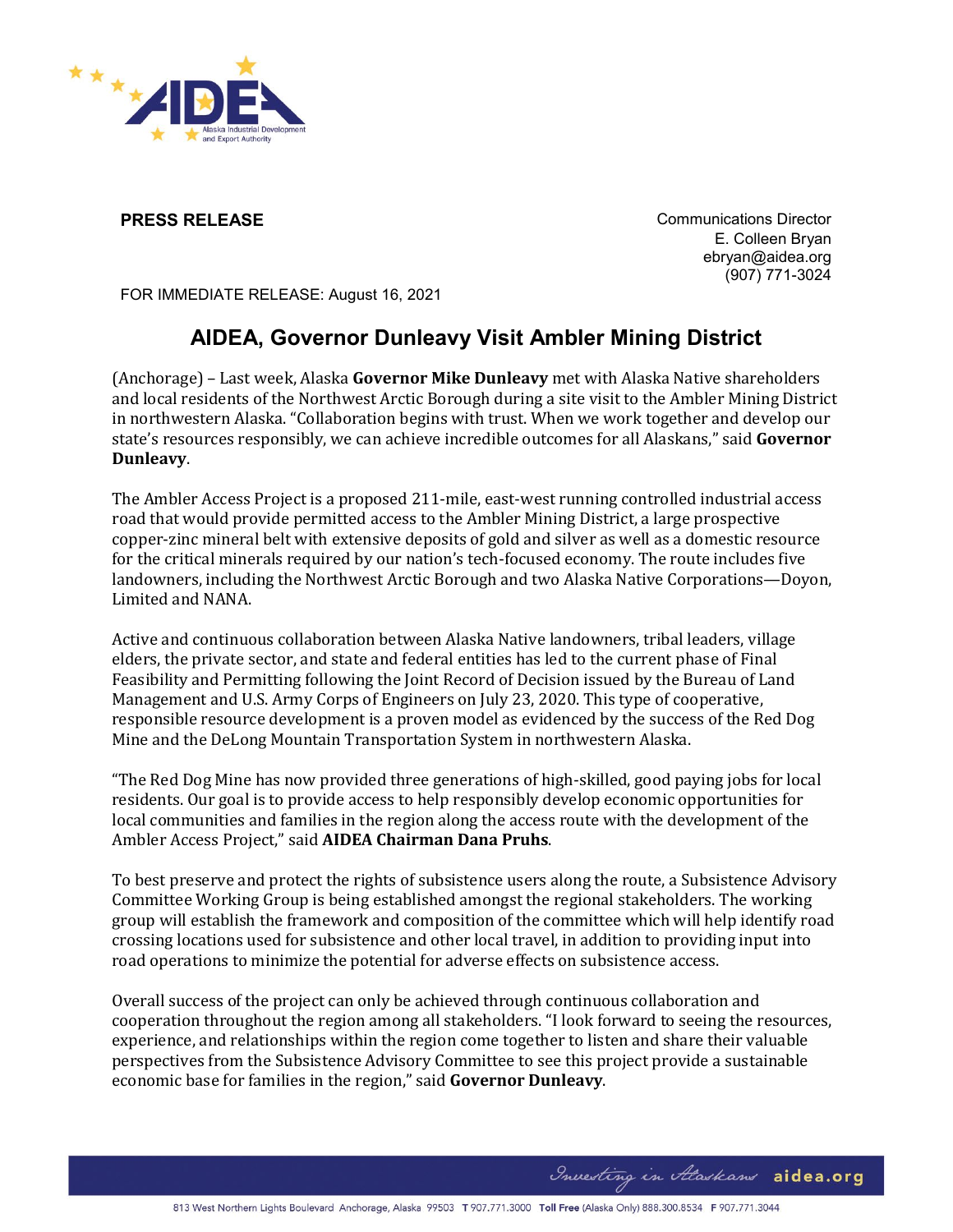

**PRESS RELEASE Communications Director** E. Colleen Bryan ebryan@aidea.org (907) 771-3024

FOR IMMEDIATE RELEASE: August 16, 2021

## **AIDEA, Governor Dunleavy Visit Ambler Mining District**

(Anchorage) – Last week, Alaska **Governor Mike Dunleavy** met with Alaska Native shareholders and local residents of the Northwest Arctic Borough during a site visit to the Ambler Mining District in northwestern Alaska. "Collaboration begins with trust. When we work together and develop our state's resources responsibly, we can achieve incredible outcomes for all Alaskans," said **Governor Dunleavy**.

The Ambler Access Project is a proposed 211-mile, east-west running controlled industrial access road that would provide permitted access to the Ambler Mining District, a large prospective copper-zinc mineral belt with extensive deposits of gold and silver as well as a domestic resource for the critical minerals required by our nation's tech-focused economy. The route includes five landowners, including the Northwest Arctic Borough and two Alaska Native Corporations—Doyon, Limited and NANA.

Active and continuous collaboration between Alaska Native landowners, tribal leaders, village elders, the private sector, and state and federal entities has led to the current phase of Final Feasibility and Permitting following the Joint Record of Decision issued by the Bureau of Land Management and U.S. Army Corps of Engineers on July 23, 2020. This type of cooperative, responsible resource development is a proven model as evidenced by the success of the Red Dog Mine and the DeLong Mountain Transportation System in northwestern Alaska.

"The Red Dog Mine has now provided three generations of high-skilled, good paying jobs for local residents. Our goal is to provide access to help responsibly develop economic opportunities for local communities and families in the region along the access route with the development of the Ambler Access Project," said **AIDEA Chairman Dana Pruhs**.

To best preserve and protect the rights of subsistence users along the route, a Subsistence Advisory Committee Working Group is being established amongst the regional stakeholders. The working group will establish the framework and composition of the committee which will help identify road crossing locations used for subsistence and other local travel, in addition to providing input into road operations to minimize the potential for adverse effects on subsistence access.

Overall success of the project can only be achieved through continuous collaboration and cooperation throughout the region among all stakeholders. "I look forward to seeing the resources, experience, and relationships within the region come together to listen and share their valuable perspectives from the Subsistence Advisory Committee to see this project provide a sustainable economic base for families in the region," said **Governor Dunleavy**.

Investing in Alaskans aidea.org